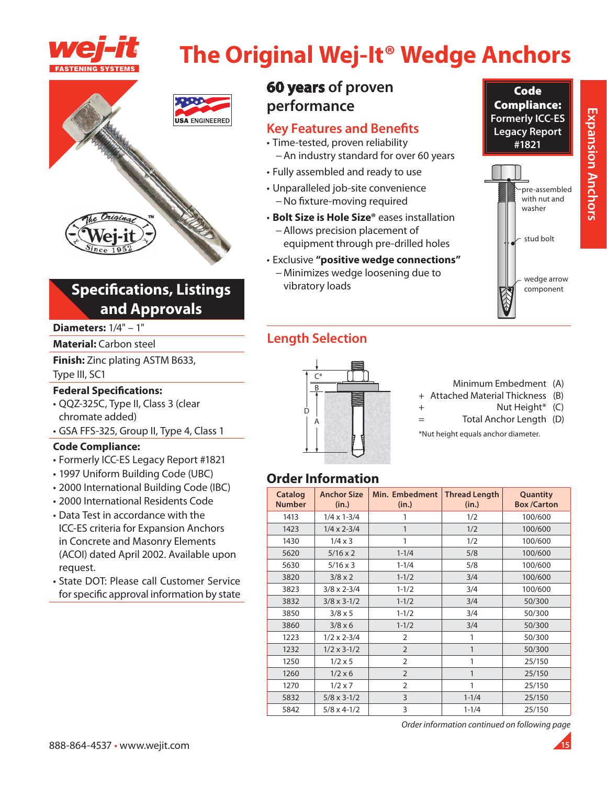

# **The Original Wej-It<sup>®</sup> Wedge Anchors**



# **Specifications, Listings** and Approvals

### **Diameters:**  $1/4" - 1"$

### **Material: Carbon steel**

Finish: Zinc plating ASTM B633, Type III, SC1

### **Federal Specifications:**

- · QQZ-325C, Type II, Class 3 (clear chromate added)
- · GSA FFS-325, Group II, Type 4, Class 1

### **Code Compliance:**

- Formerly ICC-ES Legacy Report #1821
- · 1997 Uniform Building Code (UBC)
- · 2000 International Building Code (IBC)
- · 2000 International Residents Code
- Data Test in accordance with the **ICC-ES criteria for Expansion Anchors** in Concrete and Masonry Elements (ACOI) dated April 2002. Available upon request.
- State DOT: Please call Customer Service for specific approval information by state

# **60 years of proven** performance

### **Key Features and Benefits**

- · Time-tested, proven reliability - An industry standard for over 60 years
- Fully assembled and ready to use
- Unparalleled job-site convenience - No fixture-moving required
- · Bolt Size is Hole Size® eases installation - Allows precision placement of equipment through pre-drilled holes

### · Exclusive "positive wedge connections"

- Minimizes wedge loosening due to vibratory loads

# **Length Selection**



### Minimum Embedment (A)

- + Attached Material Thickness (B)  $\ddot{}$ 
	- Nut Height\* (C)
- Total Anchor Length (D)  $=$

\*Nut height equals anchor diameter.

# **Order Information**

| Catalog<br><b>Number</b> | <b>Anchor Size</b><br>(in.) | Min. Embedment<br>(in.) | <b>Thread Length</b><br>(in.) | Quantity<br><b>Box/Carton</b> |
|--------------------------|-----------------------------|-------------------------|-------------------------------|-------------------------------|
| 1413                     | $1/4 \times 1 - 3/4$        | 1                       | 1/2                           | 100/600                       |
| 1423                     | $1/4 \times 2 - 3/4$        | 1                       | 1/2                           | 100/600                       |
| 1430                     | $1/4 \times 3$              | 1                       | 1/2                           | 100/600                       |
| 5620                     | $5/16 \times 2$             | $1 - 1/4$               | 5/8                           | 100/600                       |
| 5630                     | $5/16 \times 3$             | $1 - 1/4$               | 5/8                           | 100/600                       |
| 3820                     | $3/8 \times 2$              | $1 - 1/2$               | 3/4                           | 100/600                       |
| 3823                     | $3/8 \times 2 - 3/4$        | $1 - 1/2$               | 3/4                           | 100/600                       |
| 3832                     | $3/8 \times 3 - 1/2$        | $1 - 1/2$               | 3/4                           | 50/300                        |
| 3850                     | $3/8 \times 5$              | $1 - 1/2$               | 3/4                           | 50/300                        |
| 3860                     | $3/8 \times 6$              | $1 - 1/2$               | 3/4                           | 50/300                        |
| 1223                     | $1/2 \times 2 - 3/4$        | 2                       | 1                             | 50/300                        |
| 1232                     | $1/2 \times 3 - 1/2$        | $\overline{2}$          | 1                             | 50/300                        |
| 1250                     | $1/2 \times 5$              | $\overline{2}$          | 1                             | 25/150                        |
| 1260                     | $1/2 \times 6$              | $\overline{2}$          | 1                             | 25/150                        |
| 1270                     | $1/2 \times 7$              | $\overline{2}$          | 1                             | 25/150                        |
| 5832                     | $5/8 \times 3 - 1/2$        | 3                       | $1 - 1/4$                     | 25/150                        |
| 5842                     | $5/8 \times 4 - 1/2$        | 3                       | $1 - 1/4$                     | 25/150                        |

Order information continued on following page

Code

**Compliance:** 

**Formerly ICC-ES** 

**Legacy Report** 

#1821

pre-assembled with nut and

washer

stud bolt

wedge arrow

component

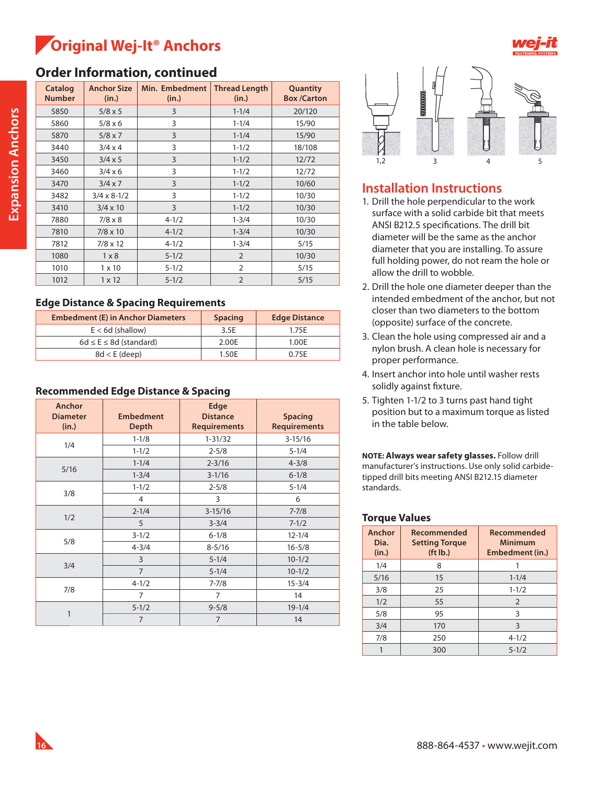# **Original Wej-It® Anchors**



# **Order Information, continued**

| <b>Catalog</b><br><b>Number</b> | <b>Anchor Size</b><br>(in.) | Min. Embedment<br>(in.) | <b>Thread Length</b><br>(in.) | Quantity<br><b>Box /Carton</b> |
|---------------------------------|-----------------------------|-------------------------|-------------------------------|--------------------------------|
| 5850                            | $5/8 \times 5$              | 3                       | $1 - 1/4$                     | 20/120                         |
| 5860                            | $5/8 \times 6$              | 3                       | $1 - 1/4$                     | 15/90                          |
| 5870                            | $5/8 \times 7$              | 3                       | $1 - 1/4$                     | 15/90                          |
| 3440                            | $3/4 \times 4$              | 3                       | $1 - 1/2$                     | 18/108                         |
| 3450                            | $3/4 \times 5$              | 3                       | $1 - 1/2$                     | 12/72                          |
| 3460                            | $3/4 \times 6$              | 3                       | $1 - 1/2$                     | 12/72                          |
| 3470                            | $3/4 \times 7$              | 3                       | $1 - 1/2$                     | 10/60                          |
| 3482                            | $3/4 \times 8 - 1/2$        | 3                       | $1 - 1/2$                     | 10/30                          |
| 3410                            | $3/4 \times 10$             | 3                       | $1 - 1/2$                     | 10/30                          |
| 7880                            | $7/8 \times 8$              | $4 - 1/2$               | $1 - 3/4$                     | 10/30                          |
| 7810                            | $7/8 \times 10$             | $4 - 1/2$               | $1 - 3/4$                     | 10/30                          |
| 7812                            | $7/8 \times 12$             | $4 - 1/2$               | $1 - 3/4$                     | 5/15                           |
| 1080                            | $1 \times 8$                | $5 - 1/2$               | $\overline{2}$                | 10/30                          |
| 1010                            | $1 \times 10$               | $5 - 1/2$               | $\overline{2}$                | 5/15                           |
| 1012                            | $1 \times 12$               | $5 - 1/2$               | $\overline{2}$                | 5/15                           |

### **Edge Distance & Spacing Requirements**

| <b>Embedment (E) in Anchor Diameters</b> | <b>Spacing</b> | <b>Edge Distance</b> |
|------------------------------------------|----------------|----------------------|
| $E < 6d$ (shallow)                       | 3.5E           | 1.75E                |
| $6d \le E \le 8d$ (standard)             | 2.00E          | 1.00E                |
| $8d < E$ (deep)                          | 1.50E          | 0.75F                |

### **Recommended Edge Distance & Spacing**

| Anchor<br><b>Diameter</b><br>(in.) | <b>Embedment</b><br><b>Depth</b> | Edge<br><b>Distance</b><br><b>Requirements</b> | <b>Spacing</b><br><b>Requirements</b> |
|------------------------------------|----------------------------------|------------------------------------------------|---------------------------------------|
| 1/4                                | $1 - 1/8$                        | $1 - 31/32$                                    | $3-15/16$                             |
|                                    | $1 - 1/2$                        | $2 - 5/8$                                      | $5 - 1/4$                             |
| 5/16                               | $1 - 1/4$                        | $2 - 3/16$                                     | $4 - 3/8$                             |
|                                    | $1 - 3/4$                        | $3 - 1/16$                                     | $6 - 1/8$                             |
|                                    | $1 - 1/2$                        | $2 - 5/8$                                      | $5 - 1/4$                             |
| 3/8                                | 4                                | 3                                              | 6                                     |
| 1/2                                | $2 - 1/4$                        | $3 - 15/16$                                    | $7 - 7/8$                             |
|                                    | 5                                | $3 - 3/4$                                      | $7 - 1/2$                             |
| 5/8                                | $3 - 1/2$                        | $6 - 1/8$                                      | $12 - 1/4$                            |
|                                    | $4 - 3/4$                        | $8 - 5/16$                                     | $16 - 5/8$                            |
|                                    | 3                                | $5 - 1/4$                                      | $10 - 1/2$                            |
| 3/4                                | $\overline{7}$                   | $5 - 1/4$                                      | $10 - 1/2$                            |
| 7/8                                | $4 - 1/2$                        | $7 - 7/8$                                      | $15 - 3/4$                            |
|                                    | $\overline{7}$                   | $\overline{7}$                                 | 14                                    |
|                                    | $5 - 1/2$                        | $9 - 5/8$                                      | $19 - 1/4$                            |
| 1                                  | $\overline{7}$                   | $\overline{7}$                                 | 14                                    |



### **Installation Instructions**

- 1. Drill the hole perpendicular to the work surface with a solid carbide bit that meets ANSI B212.5 specifications. The drill bit diameter will be the same as the anchor diameter that you are installing. To assure full holding power, do not ream the hole or allow the drill to wobble.
- 2. Drill the hole one diameter deeper than the intended embedment of the anchor, but not closer than two diameters to the bottom (opposite) surface of the concrete.
- 3. Clean the hole using compressed air and a nylon brush. A clean hole is necessary for proper performance.
- 4. Insert anchor into hole until washer rests solidly against fixture.
- 5. Tighten 1-1/2 to 3 turns past hand tight position but to a maximum torque as listed in the table below.

**NOTE: Always wear safety glasses.** Follow drill manufacturer's instructions. Use only solid carbidetipped drill bits meeting ANSI B212.15 diameter standards.

### **Torque Values**

| Anchor<br>Dia.<br>(in.) | Recommended<br><b>Setting Torque</b><br>$(ft$ lb.) | Recommended<br><b>Minimum</b><br>Embedment (in.) |
|-------------------------|----------------------------------------------------|--------------------------------------------------|
| 1/4                     | 8                                                  |                                                  |
| 5/16                    | 15                                                 | $1 - 1/4$                                        |
| 3/8                     | 25                                                 | $1 - 1/2$                                        |
| 1/2                     | 55                                                 | 2                                                |
| 5/8                     | 95                                                 | 3                                                |
| 3/4                     | 170                                                | 3                                                |
| 7/8                     | 250                                                | $4 - 1/2$                                        |
|                         | 300                                                | $5 - 1/2$                                        |